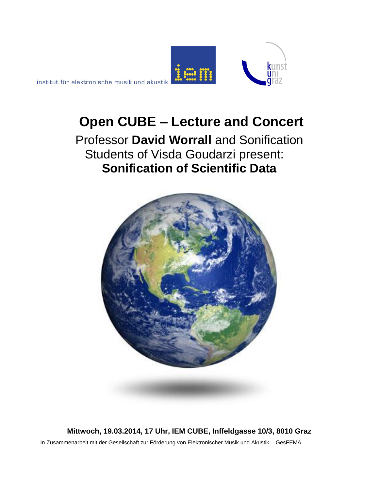

institut für elektronische musik und akustik

# **Open CUBE – Lecture and Concert**

Professor **David Worrall** and Sonification Students of Visda Goudarzi present: **Sonification of Scientific Data**



**Mittwoch, 19.03.2014, 17 Uhr, IEM CUBE, Inffeldgasse 10/3, 8010 Graz** In Zusammenarbeit mit der Gesellschaft zur Förderung von Elektronischer Musik und Akustik – GesFEMA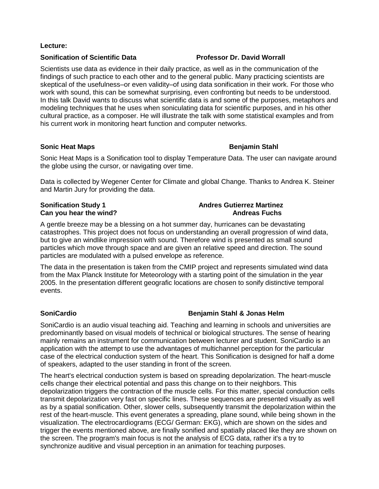### **Lecture:**

### **Sonification of Scientific Data Professor Dr. David Worrall**

Scientists use data as evidence in their daily practice, as well as in the communication of the findings of such practice to each other and to the general public. Many practicing scientists are skeptical of the usefulness–or even validity–of using data sonification in their work. For those who work with sound, this can be somewhat surprising, even confronting but needs to be understood. In this talk David wants to discuss what scientific data is and some of the purposes, metaphors and modeling techniques that he uses when soniculating data for scientific purposes, and in his other cultural practice, as a composer. He will illustrate the talk with some statistical examples and from his current work in monitoring heart function and computer networks.

### **Sonic Heat Maps Community Community Community Community Community Community Community Community Community Community**

Sonic Heat Maps is a Sonification tool to display Temperature Data. The user can navigate around the globe using the cursor, or navigating over time.

Data is collected by Wegener Center for Climate and global Change. Thanks to Andrea K. Steiner and Martin Jury for providing the data.

# **Sonification Study 1 Andres Gutierrez Martinez Can you hear the wind? Andreas Fuchs**

A gentle breeze may be a blessing on a hot summer day, hurricanes can be devastating catastrophes. This project does not focus on understanding an overall progression of wind data, but to give an windlike impression with sound. Therefore wind is presented as small sound particles which move through space and are given an relative speed and direction. The sound particles are modulated with a pulsed envelope as reference.

The data in the presentation is taken from the CMIP project and represents simulated wind data from the Max Planck Institute for Meteorology with a starting point of the simulation in the year 2005. In the presentation different geografic locations are chosen to sonify distinctive temporal events.

# **SoniCardio Benjamin Stahl & Jonas Helm**

SoniCardio is an audio visual teaching aid. Teaching and learning in schools and universities are predominantly based on visual models of technical or biological structures. The sense of hearing mainly remains an instrument for communication between lecturer and student. SoniCardio is an application with the attempt to use the advantages of multichannel perception for the particular case of the electrical conduction system of the heart. This Sonification is designed for half a dome of speakers, adapted to the user standing in front of the screen.

The heart's electrical conduction system is based on spreading depolarization. The heart-muscle cells change their electrical potential and pass this change on to their neighbors. This depolarization triggers the contraction of the muscle cells. For this matter, special conduction cells transmit depolarization very fast on specific lines. These sequences are presented visually as well as by a spatial sonification. Other, slower cells, subsequently transmit the depolarization within the rest of the heart-muscle. This event generates a spreading, plane sound, while being shown in the visualization. The electrocardiograms (ECG/ German: EKG), which are shown on the sides and trigger the events mentioned above, are finally sonified and spatially placed like they are shown on the screen. The program's main focus is not the analysis of ECG data, rather it's a try to synchronize auditive and visual perception in an animation for teaching purposes.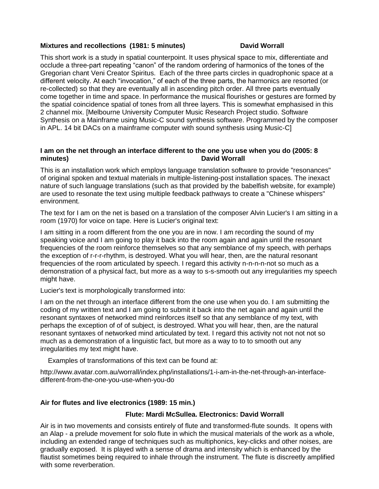### **Mixtures and recollections (1981: 5 minutes) Case Constructs David Worrall**

This short work is a study in spatial counterpoint. It uses physical space to mix, differentiate and occlude a three-part repeating "canon" of the random ordering of harmonics of the tones of the Gregorian chant Veni Creator Spiritus. Each of the three parts circles in quadrophonic space at a different velocity. At each "invocation," of each of the three parts, the harmonics are resorted (or re-collected) so that they are eventually all in ascending pitch order. All three parts eventually come together in time and space. In performance the musical flourishes or gestures are formed by the spatial coincidence spatial of tones from all three layers. This is somewhat emphasised in this 2 channel mix. [Melbourne University Computer Music Research Project studio. Software Synthesis on a Mainframe using Music-C sound synthesis software. Programmed by the composer in APL. 14 bit DACs on a mainframe computer with sound synthesis using Music-C]

### **I am on the net through an interface different to the one you use when you do (2005: 8 minutes)** David Worrall

This is an installation work which employs language translation software to provide "resonances" of original spoken and textual materials in multiple-listening-post installation spaces. The inexact nature of such language translations (such as that provided by the babelfish website, for example) are used to resonate the text using multiple feedback pathways to create a "Chinese whispers" environment.

The text for I am on the net is based on a translation of the composer Alvin Lucier's I am sitting in a room (1970) for voice on tape. Here is Lucier's original text:

I am sitting in a room different from the one you are in now. I am recording the sound of my speaking voice and I am going to play it back into the room again and again until the resonant frequencies of the room reinforce themselves so that any semblance of my speech, with perhaps the exception of r-r-r-rhythm, is destroyed. What you will hear, then, are the natural resonant frequencies of the room articulated by speech. I regard this activity n-n-n-n-not so much as a demonstration of a physical fact, but more as a way to s-s-smooth out any irregularities my speech might have.

Lucier's text is morphologically transformed into:

I am on the net through an interface different from the one use when you do. I am submitting the coding of my written text and I am going to submit it back into the net again and again until the resonant syntaxes of networked mind reinforces itself so that any semblance of my text, with perhaps the exception of of of subject, is destroyed. What you will hear, then, are the natural resonant syntaxes of networked mind articulated by text. I regard this activity not not not not so much as a demonstration of a linguistic fact, but more as a way to to to smooth out any irregularities my text might have.

Examples of transformations of this text can be found at:

http://www.avatar.com.au/worrall/index.php/installations/1-i-am-in-the-net-through-an-interfacedifferent-from-the-one-you-use-when-you-do

# **Air for flutes and live electronics (1989: 15 min.)**

# **Flute: Mardi McSullea. Electronics: David Worrall**

Air is in two movements and consists entirely of flute and transformed-flute sounds. It opens with an Alap - a prelude movement for solo flute in which the musical materials of the work as a whole, including an extended range of techniques such as multiphonics, key-clicks and other noises, are gradually exposed. It is played with a sense of drama and intensity which is enhanced by the flautist sometimes being required to inhale through the instrument. The flute is discreetly amplified with some reverberation.